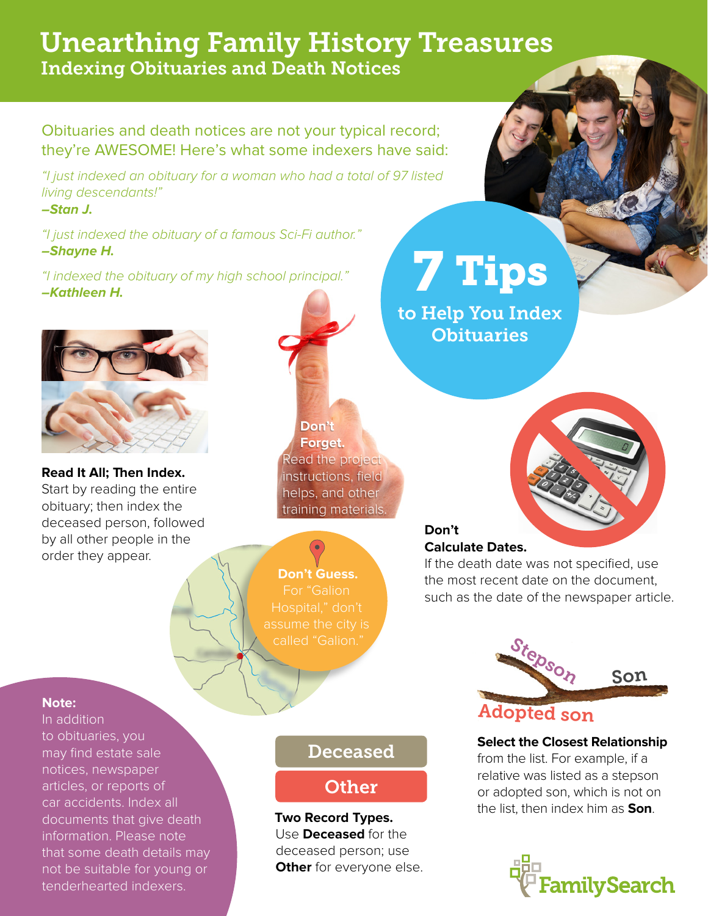## Unearthing Family History Treasures Indexing Obituaries and Death Notices

Obituaries and death notices are not your typical record; they're AWESOME! Here's what some indexers have said:

*"I just indexed an obituary for a woman who had a total of 97 listed living descendants!"* 

**–Stan J.**

*"I just indexed the obituary of a famous Sci-Fi author."*  **–Shayne H.**

*"I indexed the obituary of my high school principal."*  **–Kathleen H.**



**Read It All; Then Index.**  Start by reading the entire obituary; then index the deceased person, followed by all other people in the order they appear.

# **Don't Forget.**  Read the project instructions, field helps, and other training materials.



**Don't Guess.**  For "Galion Hospital," don't

### **Don't Calculate Dates.**

If the death date was not specified, use the most recent date on the document, such as the date of the newspaper article.

### **Note:**

In addition to obituaries, you may find estate sale notices, newspaper articles, or reports of car accidents. Index all documents that give death information. Please note that some death details may not be suitable for young or tenderhearted indexers.

### Deceased

## **Other**

**Two Record Types.**  Use **Deceased** for the deceased person; use **Other** for everyone else.

# 7 Tips

to Help You Index **Obituaries** 



**Select the Closest Relationship**

from the list. For example, if a relative was listed as a stepson or adopted son, which is not on the list, then index him as **Son**.